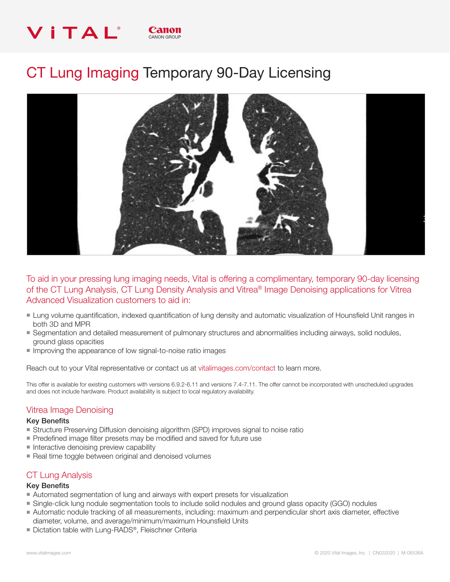# VITAL® CANON GROUP

# CT Lung Imaging Temporary 90-Day Licensing



To aid in your pressing lung imaging needs, Vital is offering a complimentary, temporary 90-day licensing of the CT Lung Analysis, CT Lung Density Analysis and Vitrea® Image Denoising applications for Vitrea Advanced Visualization customers to aid in:

- Lung volume quantification, indexed quantification of lung density and automatic visualization of Hounsfield Unit ranges in both 3D and MPR
- Segmentation and detailed measurement of pulmonary structures and abnormalities including airways, solid nodules, ground glass opacities
- Improving the appearance of low signal-to-noise ratio images

Reach out to your Vital representative or contact us at vitalimages.com/contact to learn more.

This offer is available for existing customers with versions 6.9.2-6.11 and versions 7.4-7.11. The offer cannot be incorporated with unscheduled upgrades and does not include hardware. Product availability is subject to local regulatory availability.

## Vitrea Image Denoising

#### Key Benefits

- **E** Structure Preserving Diffusion denoising algorithm (SPD) improves signal to noise ratio
- Predefined image filter presets may be modified and saved for future use
- $\blacksquare$  Interactive denoising preview capability
- Real time toggle between original and denoised volumes

## CT Lung Analysis

#### Key Benefits

- nan-Automated segmentation of lung and airways with expert presets for visualization
- Single-click lung nodule segmentation tools to include solid nodules and ground glass opacity (GGO) nodules
- Automatic nodule tracking of all measurements, including: maximum and perpendicular short axis diameter, effective diameter, volume, and average/minimum/maximum Hounsfield Units
- Dictation table with Lung-RADS®, Fleischner Criteria